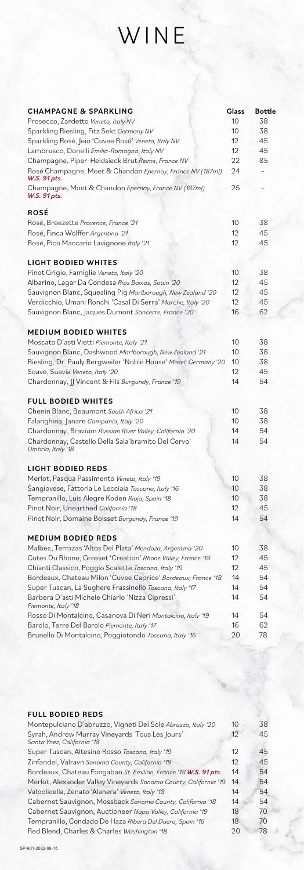# WINE

| <b>CHAMPAGNE &amp; SPARKLING</b>                                          | <b>Glass</b>      | Bottle |
|---------------------------------------------------------------------------|-------------------|--------|
| Prosecco, Zardetto Veneto, Italy NV                                       | 10                | 38     |
| Sparkling Riesling, Fitz Sekt Germany NV                                  | 10                | 38     |
| Sparkling Rosé, Jeio 'Cuvee Rosé' Veneto, Italy NV                        | 12                | 45     |
| Lambrusco, Donelli Emilia-Romagna, Italy NV                               | 12                | 45     |
| Champagne, Piper-Heidsieck Brut Reims, France NV                          | 22                | 85     |
| Rosé Champagne, Moet & Chandon Epernay, France NV (187ml)<br>W.S. 91 pts. | 24                |        |
| Champagne, Moet & Chandon Epernay, France NV (187ml)<br>W.S. 91 pts.      | 25                |        |
| ROSÉ                                                                      |                   |        |
| Rosé, Breezette Provence, France '21                                      | 10                | 38     |
| Rosé, Finca Wölffer Argentina '21                                         | $12 \overline{ }$ | 45     |
| Rosé, Pico Maccario Lavignone Italy '21                                   | 12                | 45     |
| LIGHT BODIED WHITES                                                       |                   |        |
| Pinot Grigio, Famiglie Veneto, Italy '20                                  | 10                | 38     |
| Albarino, Lagar Da Condesa Rias Baixas, Spain '20                         | 12                | 45     |
| Sauvignon Blanc, Squealing Pig Marlborough, New Zealand '20               | 12                | 45     |
| Verdicchio, Umani Ronchi 'Casal Di Serra' Marche, Italy '20               | 12                | 45     |
| Sauvignon Blanc, Jaques Dumont Sancerre, France '20                       | 16                | 62     |
| <b>MEDIUM BODIED WHITES</b>                                               |                   |        |
| Moscato D'asti Vietti Piemonte, Italy '21                                 | 10                | 38     |
| Sauvignon Blanc, Dashwood Marlborough, New Zealand '21                    | 10                | 38     |
| Riesling, Dr. Pauly Bergweiler 'Noble House' Mosel, Germany '20           | 10                | 38     |
| Soave, Suavia Veneto, Italy '20                                           | 12                | 45     |
| Chardonnay, JJ Vincent & Fils Burgundy, France '19                        | 14                | 54     |
| <b>FULL BODIED WHITES</b>                                                 |                   |        |
| Chenin Blanc, Beaumont South Africa '21                                   | 10                | 38     |
| Falanghina, Janare Campania, Italy '20                                    | 10                | 38     |
| Chardonnay, Bravium Russian River Valley, California '20                  | 14                | 54     |
| Chardonnay, Castello Della Sala'bramito Del Cervo'<br>Umbria, Italy '18   | 14                | 54     |
|                                                                           |                   |        |
| <b>LIGHT BODIED REDS</b>                                                  |                   |        |
| Merlot, Pasqua Passimento Veneto, Italy '19                               | 10                | 38     |
| Sangiovese, Fattoria Le Lecciaia Toscana, Italy '16                       | 10                | 38     |
| Tempranillo, Luis Alegre Koden Rioja, Spain '18                           | 10                | 38     |
| Pinot Noir, Unearthed California '18                                      | 12                | 45     |
| Pinot Noir, Domaine Boisset Burgundy, France '19                          | 14                | 54     |
| <b>MEDIUM BODIED REDS</b>                                                 |                   |        |
| Malbec, Terrazas 'Altos Del Plata' Mendoza, Argentina '20                 | 10 <sup>°</sup>   | 38     |
| Cotes Du Rhone, Grosset 'Creation' Rhone Valley, France '18               | 12                | 45     |
| Chianti Classico, Poggio Scalette Toscana, Italy '19                      | 12                | 45     |
| Bordeaux, Chateau Milon 'Cuvee Caprice' Bordeaux, France '18              | 14                | 54     |
| Super Tuscan, La Sughere Frassinello Toscana, Italy '17                   | 14                | 54     |
| Barbera D'asti Michele Chiarlo 'Nizza Cipressi'<br>Piemonte, Italy '18    | 14                | 54     |
| Rosso Di Montalcino, Casanova Di Neri Montalcino, Italy '19               | 14                | 54     |
| Barolo, Terre Del Barolo Piemonte, Italy '17                              | 16                | 62     |
| Brunello Di Montalcino, Poggiotondo Toscana, Italy '16                    | 20                | 78     |

### FULL BODIED REDS

| Montepulciano D'abruzzo, Vigneti Del Sole Abruzzo, Italy '20     | 10 | 38 |
|------------------------------------------------------------------|----|----|
| Syrah, Andrew Murray Vineyards 'Tous Les Jours'                  | 12 | 45 |
| Santa Ynez, California '18                                       |    |    |
| Super Tuscan, Altesino Rosso Toscana, Italy '19                  | 12 | 45 |
| Zinfandel, Valravn Sonoma County, California '19                 | 12 | 45 |
| Bordeaux, Chateau Fongaban St. Emilion, France '18 W.S. 91 pts.  | 14 | 54 |
| Merlot, Alexander Valley Vineyards Sonoma County, California '19 | 14 | 54 |
| Valpolicella, Zenato 'Alanera' Veneto, Italy '18                 | 14 | 54 |
| Cabernet Sauvignon, Mossback Sonoma County, California '18       | 14 | 54 |
| Cabernet Sauvignon, Auctioneer Napa Valley, California '19       | 18 | 70 |
| Tempranillo, Condado De Haza Ribera Del Duero, Spain '16         | 18 | 70 |
| Red Blend, Charles & Charles Washington '18                      | 20 | 78 |
|                                                                  |    |    |